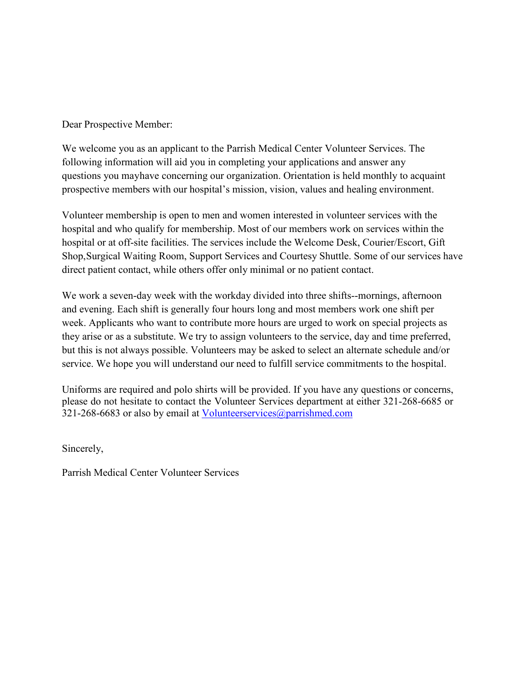Dear Prospective Member:

We welcome you as an applicant to the Parrish Medical Center Volunteer Services. The following information will aid you in completing your applications and answer any questions you may have concerning our organization. Orientation is held monthly to acquaint prospective members with our hospital's mission, vision, values and healing environment.

Volunteer membership is open to men and women interested in volunteer services with the hospital and who qualify for membership. Most of our members work on services within the hospital or at off-site facilities. The services include the Welcome Desk, Courier/Escort, Gift Shop, Surgical Waiting Room, Support Services and Courtesy Shuttle. Some of our services have direct patient contact, while others offer only minimal or no patient contact.

We work a seven-day week with the workday divided into three shifts--mornings, afternoon and evening. Each shift is generally four hours long and most members work one shift per week. Applicants who want to contribute more hours are urged to work on special projects as they arise or as a substitute. We try to assign volunteers to the service, day and time preferred, but this is not always possible. Volunteers may be asked to select an alternate schedule and/or service. We hope you will understand our need to fulfill service commitments to the hospital.

Uniforms are required and polo shirts will be provided. If you have any questions or concerns, please do not hesitate to contact the Volunteer Services department at either 321-268-6685 or 321-268-6683 or also by email at [Volunteerservices@parrishmed.com](mailto:Volunteerservices@parrishmed.com)

Sincerely,

Parrish Medical Center Volunteer Services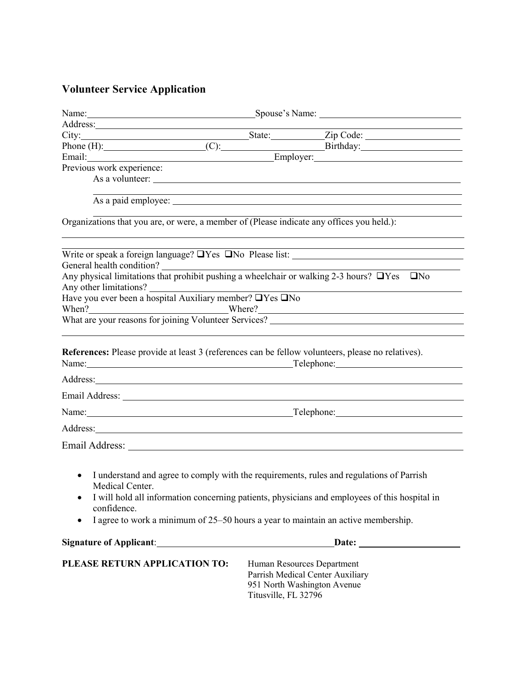# **Volunteer Service Application**

|                                                                                                                                                                                                                                                                                                                                                                                                                                                                      | Name: Spouse's Name: Spouse's Name: |                                                                                                                  |
|----------------------------------------------------------------------------------------------------------------------------------------------------------------------------------------------------------------------------------------------------------------------------------------------------------------------------------------------------------------------------------------------------------------------------------------------------------------------|-------------------------------------|------------------------------------------------------------------------------------------------------------------|
|                                                                                                                                                                                                                                                                                                                                                                                                                                                                      |                                     | the contract of the contract of the contract of the contract of the contract of                                  |
|                                                                                                                                                                                                                                                                                                                                                                                                                                                                      |                                     |                                                                                                                  |
|                                                                                                                                                                                                                                                                                                                                                                                                                                                                      |                                     |                                                                                                                  |
| Email: Email: Employer: Employer:                                                                                                                                                                                                                                                                                                                                                                                                                                    |                                     |                                                                                                                  |
| Previous work experience:                                                                                                                                                                                                                                                                                                                                                                                                                                            |                                     |                                                                                                                  |
|                                                                                                                                                                                                                                                                                                                                                                                                                                                                      |                                     | As a volunteer:                                                                                                  |
|                                                                                                                                                                                                                                                                                                                                                                                                                                                                      |                                     | and the control of the control of the control of the control of the control of the control of the control of the |
|                                                                                                                                                                                                                                                                                                                                                                                                                                                                      |                                     |                                                                                                                  |
| Organizations that you are, or were, a member of (Please indicate any offices you held.):                                                                                                                                                                                                                                                                                                                                                                            |                                     |                                                                                                                  |
|                                                                                                                                                                                                                                                                                                                                                                                                                                                                      |                                     |                                                                                                                  |
| General health condition? $\Box$<br>Any physical limitations that prohibit pushing a wheelchair or walking 2-3 hours? $\Box$ Yes $\Box$ No                                                                                                                                                                                                                                                                                                                           |                                     |                                                                                                                  |
|                                                                                                                                                                                                                                                                                                                                                                                                                                                                      |                                     |                                                                                                                  |
| Any other limitations?<br>Have you ever been a hospital Auxiliary member? UYes UNo                                                                                                                                                                                                                                                                                                                                                                                   |                                     |                                                                                                                  |
|                                                                                                                                                                                                                                                                                                                                                                                                                                                                      |                                     |                                                                                                                  |
| When ? Where ?<br>What are your reasons for joining Volunteer Services? ___________________________                                                                                                                                                                                                                                                                                                                                                                  |                                     |                                                                                                                  |
|                                                                                                                                                                                                                                                                                                                                                                                                                                                                      |                                     |                                                                                                                  |
| Name: <u>Name:</u> Name: Name: Name: Name: Name: Name: Name: Name: Name: Name: Name: Name: Name: Name: Name: Name: Name of Name of Name of Name of Name of Name of Name of Name of Name of Name of Name of Name of Name of Name of<br>Address: National Address: National Address: National Address: National Address: National Address: National Address: National Address: National Address: National Address: National Address: National Address: National Addres |                                     |                                                                                                                  |
|                                                                                                                                                                                                                                                                                                                                                                                                                                                                      |                                     |                                                                                                                  |
| Name: <u>Name:</u> Name: Name: Name: Name: Name: Name: Name: Name: Name: Name: Name: Name: Name: Name: Name: Name: Name: Name: Name: Name: Name: Name: Name: Name: Name: Name: Name: Name: Name: Name: Name: Name: Name: Name: Name                                                                                                                                                                                                                                  |                                     |                                                                                                                  |
| Address: Andreas Address: Address: Address: Address: Address: Address: Address: Address: Address: Address: Address: Address: Address: Address: Address: Address: Address: Address: Address: Address: Address: Address: Address                                                                                                                                                                                                                                       |                                     |                                                                                                                  |
|                                                                                                                                                                                                                                                                                                                                                                                                                                                                      |                                     |                                                                                                                  |
| I understand and agree to comply with the requirements, rules and regulations of Parrish<br>Medical Center.<br>٠<br>confidence.<br>I agree to work a minimum of 25–50 hours a year to maintain an active membership.<br>٠                                                                                                                                                                                                                                            |                                     | I will hold all information concerning patients, physicians and employees of this hospital in                    |
|                                                                                                                                                                                                                                                                                                                                                                                                                                                                      |                                     | Date:                                                                                                            |
| PLEASE RETURN APPLICATION TO:                                                                                                                                                                                                                                                                                                                                                                                                                                        | Titusville, FL 32796                | Human Resources Department<br>Parrish Medical Center Auxiliary<br>951 North Washington Avenue                    |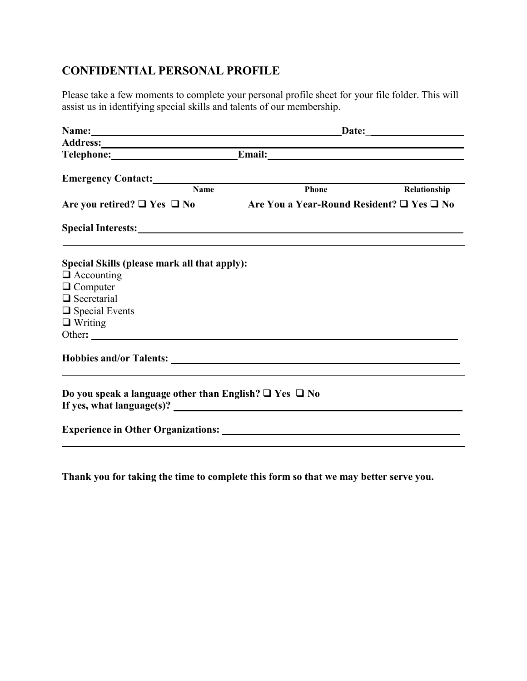#### **CONFIDENTIAL PERSONAL PROFILE**

Please take a few moments to complete your personal profile sheet for your file folder. This will assist us in identifying special skills and talents of our membership.

| Name: Name and the second state of the second state of the second state of the second state of the second state of the second state of the second state of the second state of the second state of the second state of the sec |       |              |  |
|--------------------------------------------------------------------------------------------------------------------------------------------------------------------------------------------------------------------------------|-------|--------------|--|
|                                                                                                                                                                                                                                |       |              |  |
| Telephone: Email: Email:                                                                                                                                                                                                       |       |              |  |
| Emergency Contact: National Contract Contract Contract Contract Contract Contract Contract Contract Contract Contract Contract Contract Contract Contract Contract Contract Contract Contract Contract Contract Contract Contr |       |              |  |
| <b>Name</b>                                                                                                                                                                                                                    | Phone | Relationship |  |
| Are you retired? $\Box$ Yes $\Box$ No Are You a Year-Round Resident? $\Box$ Yes $\Box$ No                                                                                                                                      |       |              |  |
| Special Interests: Note that the set of the set of the set of the set of the set of the set of the set of the set of the set of the set of the set of the set of the set of the set of the set of the set of the set of the se |       |              |  |
| Special Skills (please mark all that apply):                                                                                                                                                                                   |       |              |  |
| $\Box$ Accounting                                                                                                                                                                                                              |       |              |  |
| $\Box$ Computer                                                                                                                                                                                                                |       |              |  |
| $\Box$ Secretarial                                                                                                                                                                                                             |       |              |  |
| $\Box$ Special Events<br>$\Box$ Writing                                                                                                                                                                                        |       |              |  |
| Other:                                                                                                                                                                                                                         |       |              |  |
|                                                                                                                                                                                                                                |       |              |  |
| Do you speak a language other than English? $\Box$ Yes $\Box$ No                                                                                                                                                               |       |              |  |
|                                                                                                                                                                                                                                |       |              |  |

**Thank you for taking the time to complete this form so that we may better serve you.**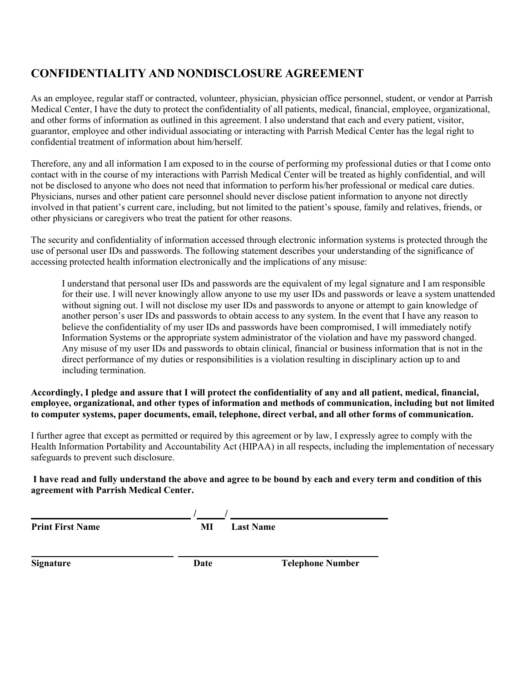## **CONFIDENTIALITY AND NONDISCLOSURE AGREEMENT**

As an employee, regular staff or contracted, volunteer, physician, physician office personnel, student, or vendor at Parrish Medical Center, I have the duty to protect the confidentiality of all patients, medical, financial, employee, organizational, and other forms of information as outlined in this agreement. I also understand that each and every patient, visitor, guarantor, employee and other individual associating or interacting with Parrish Medical Center has the legal right to confidential treatment of information about him/herself.

Therefore, any and all information I am exposed to in the course of performing my professional duties or that I come onto contact with in the course of my interactions with Parrish Medical Center will be treated as highly confidential, and will not be disclosed to anyone who does not need that information to perform his/her professional or medical care duties. Physicians, nurses and other patient care personnel should never disclose patient information to anyone not directly involved in that patient's current care, including, but not limited to the patient's spouse, family and relatives, friends, or other physicians or caregivers who treat the patient for other reasons.

The security and confidentiality of information accessed through electronic information systems is protected through the use of personal user IDs and passwords. The following statement describes your understanding of the significance of accessing protected health information electronically and the implications of any misuse:

I understand that personal user IDs and passwords are the equivalent of my legal signature and I am responsible for their use. I will never knowingly allow anyone to use my user IDs and passwords or leave a system unattended without signing out. I will not disclose my user IDs and passwords to anyone or attempt to gain knowledge of another person's user IDs and passwords to obtain access to any system. In the event that I have any reason to believe the confidentiality of my user IDs and passwords have been compromised, I will immediately notify Information Systems or the appropriate system administrator of the violation and have my password changed. Any misuse of my user IDs and passwords to obtain clinical, financial or business information that is not in the direct performance of my duties or responsibilities is a violation resulting in disciplinary action up to and including termination.

**Accordingly, I pledge and assure that I will protect the confidentiality of any and all patient, medical, financial, employee, organizational, and other types of information and methods of communication, including but not limited to computer systems, paper documents, email, telephone, direct verbal, and all other forms of communication.**

I further agree that except as permitted or required by this agreement or by law, I expressly agree to comply with the Health Information Portability and Accountability Act (HIPAA) in all respects, including the implementation of necessary safeguards to prevent such disclosure.

#### **I have read and fully understand the above and agree to be bound by each and every term and condition of this agreement with Parrish Medical Center.**

| <b>Print First Name</b> | МI   | <b>Last Name</b>        |
|-------------------------|------|-------------------------|
|                         |      |                         |
| <b>Signature</b>        | Date | <b>Telephone Number</b> |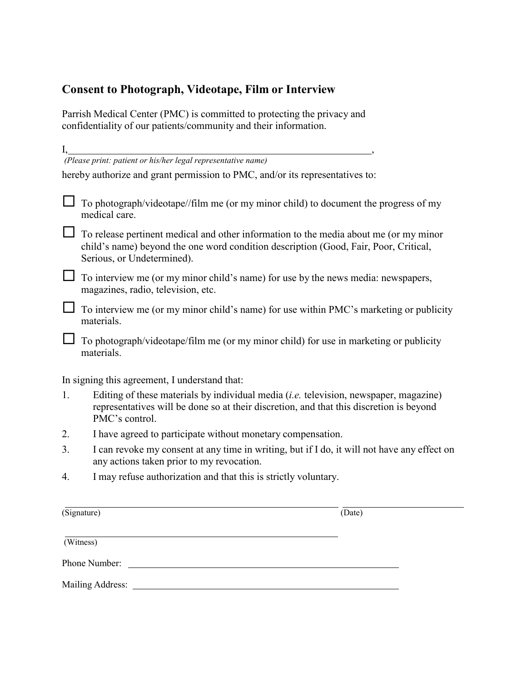## **Consent to Photograph, Videotape, Film or Interview**

Parrish Medical Center (PMC) is committed to protecting the privacy and confidentiality of our patients/community and their information.

| I, |                                                                                                                                                                                                             |  |  |  |
|----|-------------------------------------------------------------------------------------------------------------------------------------------------------------------------------------------------------------|--|--|--|
|    | (Please print: patient or his/her legal representative name)                                                                                                                                                |  |  |  |
|    | hereby authorize and grant permission to PMC, and/or its representatives to:                                                                                                                                |  |  |  |
|    | To photograph/videotape//film me (or my minor child) to document the progress of my<br>medical care.                                                                                                        |  |  |  |
|    | To release pertinent medical and other information to the media about me (or my minor<br>child's name) beyond the one word condition description (Good, Fair, Poor, Critical,<br>Serious, or Undetermined). |  |  |  |
|    | To interview me (or my minor child's name) for use by the news media: newspapers,<br>magazines, radio, television, etc.                                                                                     |  |  |  |
|    | To interview me (or my minor child's name) for use within PMC's marketing or publicity<br>materials.                                                                                                        |  |  |  |
|    | To photograph/videotape/film me (or my minor child) for use in marketing or publicity<br>materials.                                                                                                         |  |  |  |
|    | In signing this agreement, I understand that:                                                                                                                                                               |  |  |  |
| 1. | Editing of these materials by individual media <i>(i.e.</i> television, newspaper, magazine)<br>representatives will be done so at their discretion, and that this discretion is beyond<br>PMC's control.   |  |  |  |
| 2. | I have agreed to participate without monetary compensation.                                                                                                                                                 |  |  |  |
| 3. | I can revoke my consent at any time in writing, but if I do, it will not have any effect on<br>any actions taken prior to my revocation.                                                                    |  |  |  |
| 4. | I may refuse authorization and that this is strictly voluntary.                                                                                                                                             |  |  |  |
|    | $(\overline{\text{Sigma}})$<br>(Date)                                                                                                                                                                       |  |  |  |
|    |                                                                                                                                                                                                             |  |  |  |
|    | (Witness)                                                                                                                                                                                                   |  |  |  |
|    | Phone Number:                                                                                                                                                                                               |  |  |  |

Mailing Address: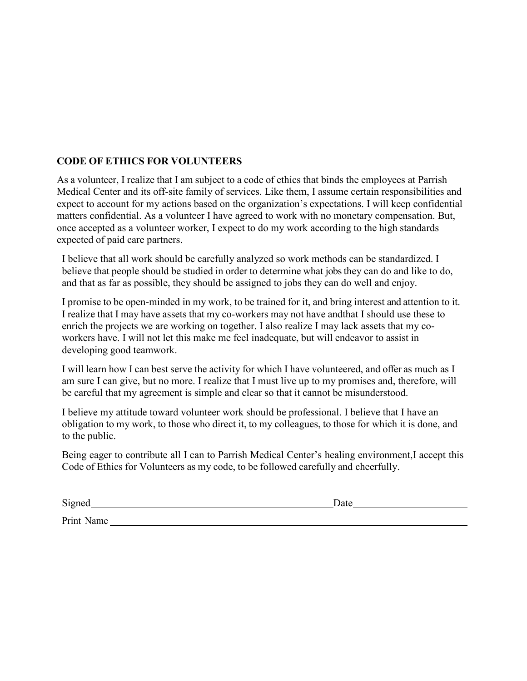#### **CODE OF ETHICS FOR VOLUNTEERS**

As a volunteer, I realize that I am subject to a code of ethics that binds the employees at Parrish Medical Center and its off-site family of services. Like them, I assume certain responsibilities and expect to account for my actions based on the organization's expectations. I will keep confidential matters confidential. As a volunteer I have agreed to work with no monetary compensation. But, once accepted as a volunteer worker, I expect to do my work according to the high standards expected of paid care partners.

I believe that all work should be carefully analyzed so work methods can be standardized. I believe that people should be studied in order to determine what jobs they can do and like to do, and that as far as possible, they should be assigned to jobs they can do well and enjoy.

I promise to be open-minded in my work, to be trained for it, and bring interest and attention to it. I realize that I may have assets that my co-workers may not have andthat I should use these to enrich the projects we are working on together. I also realize I may lack assets that my coworkers have. I will not let this make me feel inadequate, but will endeavor to assist in developing good teamwork.

I will learn how I can best serve the activity for which I have volunteered, and offer as much as I am sure I can give, but no more. I realize that I must live up to my promises and, therefore, will be careful that my agreement is simple and clear so that it cannot be misunderstood.

I believe my attitude toward volunteer work should be professional. I believe that I have an obligation to my work, to those who direct it, to my colleagues, to those for which it is done, and to the public.

Being eager to contribute all I can to Parrish Medical Center's healing environment,I accept this Code of Ethics for Volunteers as my code, to be followed carefully and cheerfully.

Signed Date

Print Name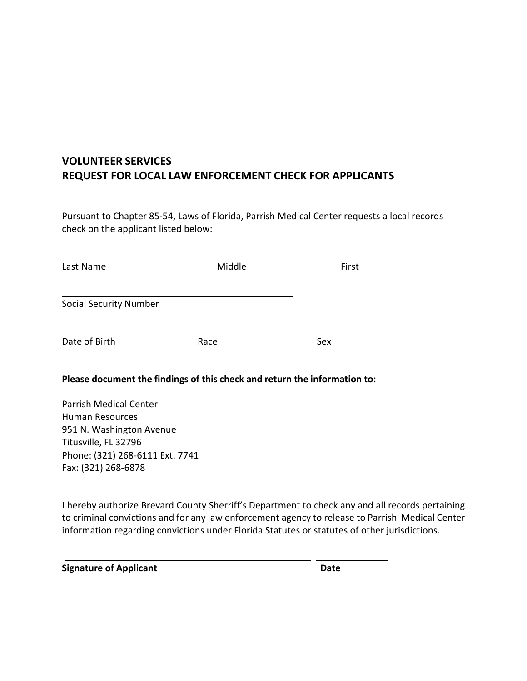## **VOLUNTEER SERVICES REQUEST FOR LOCAL LAW ENFORCEMENT CHECK FOR APPLICANTS**

Pursuant to Chapter 85-54, Laws of Florida, Parrish Medical Center requests a local records check on the applicant listed below:

| Last Name                                              | Middle                                                                    | First |
|--------------------------------------------------------|---------------------------------------------------------------------------|-------|
| <b>Social Security Number</b>                          |                                                                           |       |
| Date of Birth                                          | Race                                                                      | Sex   |
|                                                        | Please document the findings of this check and return the information to: |       |
| <b>Parrish Medical Center</b>                          |                                                                           |       |
| Human Resources                                        |                                                                           |       |
| 951 N. Washington Avenue<br>Titusville, FL 32796       |                                                                           |       |
| Phone: (321) 268-6111 Ext. 7741<br>Fax: (321) 268-6878 |                                                                           |       |
|                                                        |                                                                           |       |

I hereby authorize Brevard County Sherriff's Department to check any and all records pertaining to criminal convictions and for any law enforcement agency to release to Parrish Medical Center information regarding convictions under Florida Statutes or statutes of other jurisdictions.

**Signature of Applicant Date**